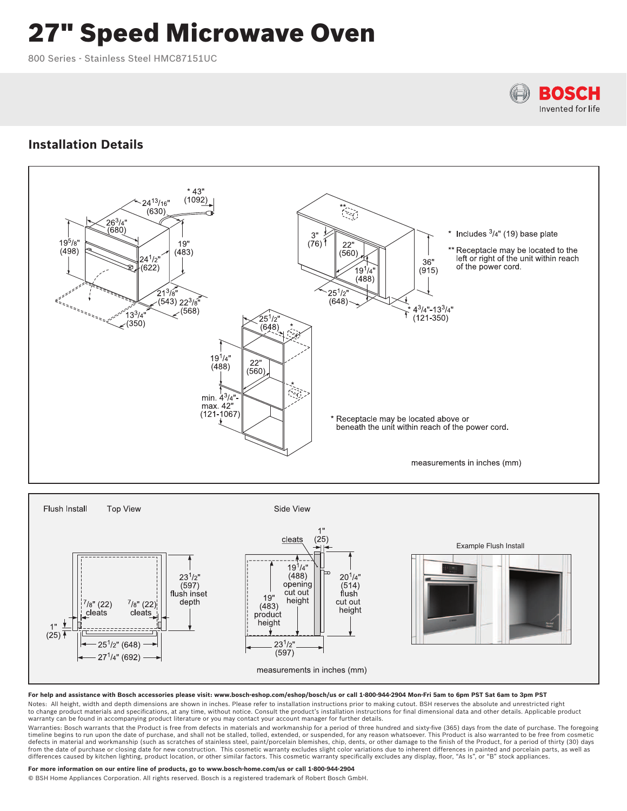# 27" Speed Microwave Oven

800 Series - Stainless Steel HMC87151UC



# **Installation Details**



### **For help and assistance with Bosch accessories please visit: www.bosch-eshop.com/eshop/bosch/us or call 1-800-944-2904 Mon-Fri 5am to 6pm PST Sat 6am to 3pm PST**

Notes: All height, width and depth dimensions are shown in inches. Please refer to installation instructions prior to making cutout. BSH reserves the absolute and unrestricted right<br>to change product materials and specific warranty can be found in accompanying product literature or you may contact your account manager for further details.

Warranties: Bosch warrants that the Product is free from defects in materials and workmanship for a period of three hundred and sixty-five (365) days from the date of purchase. The foregoing<br>timeline begins to run upon the defects in material and workmanship (such as scratches of stainless steel, paint/porcelain blemishes, chip, dents, or other damage to the finish of the Product, for a period of thirty (30) days<br>from the date of purchase or differences caused by kitchen lighting, product location, or other similar factors. This cosmetic warranty specifically excludes any display, floor, "As Is", or "B" stock appliances.

## **For more information on our entire line of products, go to www.bosch-home.com/us or call 1-800-944-2904**

© BSH Home Appliances Corporation. All rights reserved. Bosch is a registered trademark of Robert Bosch GmbH.